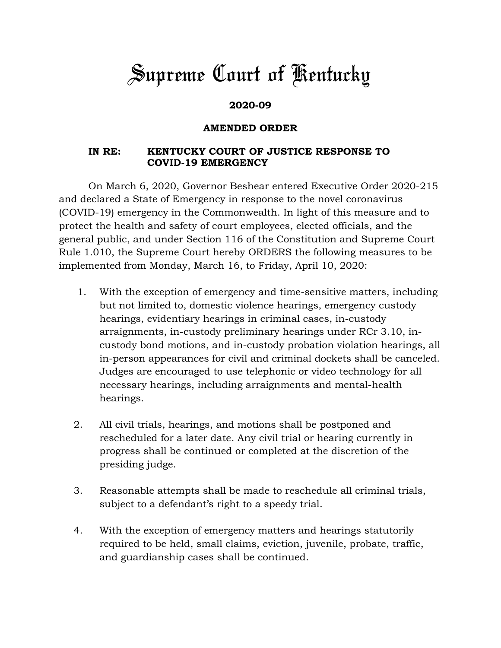## *Supreme Court of Kentucky*

## **2020-09**

## **AMENDED ORDER**

## **IN RE: KENTUCKY COURT OF JUSTICE RESPONSE TO COVID-19 EMERGENCY**

On March 6, 2020, Governor Beshear entered Executive Order 2020-215 and declared a State of Emergency in response to the novel coronavirus (COVID-19) emergency in the Commonwealth. In light of this measure and to protect the health and safety of court employees, elected officials, and the general public, and under Section 116 of the Constitution and Supreme Court Rule 1.010, the Supreme Court hereby ORDERS the following measures to be implemented from Monday, March 16, to Friday, April 10, 2020:

- 1. With the exception of emergency and time-sensitive matters, including but not limited to, domestic violence hearings, emergency custody hearings, evidentiary hearings in criminal cases, in-custody arraignments, in-custody preliminary hearings under RCr 3.10, incustody bond motions, and in-custody probation violation hearings, all in-person appearances for civil and criminal dockets shall be canceled. Judges are encouraged to use telephonic or video technology for all necessary hearings, including arraignments and mental-health hearings.
- 2. All civil trials, hearings, and motions shall be postponed and rescheduled for a later date. Any civil trial or hearing currently in progress shall be continued or completed at the discretion of the presiding judge.
- 3. Reasonable attempts shall be made to reschedule all criminal trials, subject to a defendant's right to a speedy trial.
- 4. With the exception of emergency matters and hearings statutorily required to be held, small claims, eviction, juvenile, probate, traffic, and guardianship cases shall be continued.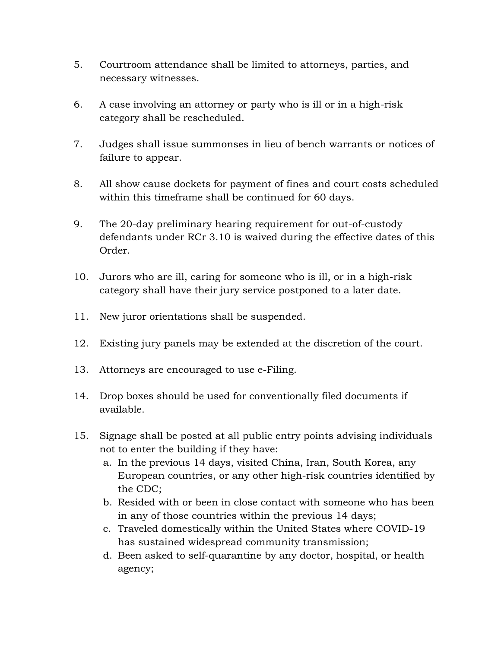- 5. Courtroom attendance shall be limited to attorneys, parties, and necessary witnesses.
- 6. A case involving an attorney or party who is ill or in a high-risk category shall be rescheduled.
- 7. Judges shall issue summonses in lieu of bench warrants or notices of failure to appear.
- 8. All show cause dockets for payment of fines and court costs scheduled within this timeframe shall be continued for 60 days.
- 9. The 20-day preliminary hearing requirement for out-of-custody defendants under RCr 3.10 is waived during the effective dates of this Order.
- 10. Jurors who are ill, caring for someone who is ill, or in a high-risk category shall have their jury service postponed to a later date.
- 11. New juror orientations shall be suspended.
- 12. Existing jury panels may be extended at the discretion of the court.
- 13. Attorneys are encouraged to use e-Filing.
- 14. Drop boxes should be used for conventionally filed documents if available.
- 15. Signage shall be posted at all public entry points advising individuals not to enter the building if they have:
	- a. In the previous 14 days, visited China, Iran, South Korea, any European countries, or any other high-risk countries identified by the CDC;
	- b. Resided with or been in close contact with someone who has been in any of those countries within the previous 14 days;
	- c. Traveled domestically within the United States where COVID-19 has sustained widespread community transmission;
	- d. Been asked to self-quarantine by any doctor, hospital, or health agency;